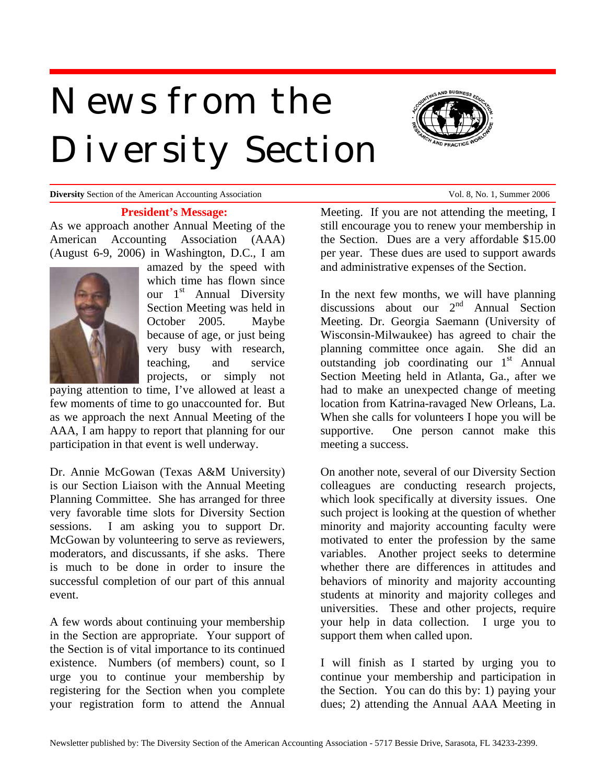# *News from the Diversity Section*



**Diversity** Section of the American Accounting Association Vol. 8, No. 1, Summer 2006

#### **President's Message:**

As we approach another Annual Meeting of the American Accounting Association (AAA) (August 6-9, 2006) in Washington, D.C., I am



amazed by the speed with which time has flown since our  $1<sup>st</sup>$  Annual Diversity Section Meeting was held in October 2005. Maybe because of age, or just being very busy with research, teaching, and service projects, or simply not

paying attention to time, I've allowed at least a few moments of time to go unaccounted for. But as we approach the next Annual Meeting of the AAA, I am happy to report that planning for our participation in that event is well underway.

Dr. Annie McGowan (Texas A&M University) is our Section Liaison with the Annual Meeting Planning Committee. She has arranged for three very favorable time slots for Diversity Section sessions. I am asking you to support Dr. McGowan by volunteering to serve as reviewers, moderators, and discussants, if she asks. There is much to be done in order to insure the successful completion of our part of this annual event.

A few words about continuing your membership in the Section are appropriate. Your support of the Section is of vital importance to its continued existence. Numbers (of members) count, so I urge you to continue your membership by registering for the Section when you complete your registration form to attend the Annual

Meeting. If you are not attending the meeting, I still encourage you to renew your membership in the Section. Dues are a very affordable \$15.00 per year. These dues are used to support awards and administrative expenses of the Section.

In the next few months, we will have planning discussions about our  $2<sup>nd</sup>$  Annual Section Meeting. Dr. Georgia Saemann (University of Wisconsin-Milwaukee) has agreed to chair the planning committee once again. She did an outstanding job coordinating our  $1<sup>st</sup>$  Annual Section Meeting held in Atlanta, Ga., after we had to make an unexpected change of meeting location from Katrina-ravaged New Orleans, La. When she calls for volunteers I hope you will be supportive. One person cannot make this meeting a success.

On another note, several of our Diversity Section colleagues are conducting research projects, which look specifically at diversity issues. One such project is looking at the question of whether minority and majority accounting faculty were motivated to enter the profession by the same variables. Another project seeks to determine whether there are differences in attitudes and behaviors of minority and majority accounting students at minority and majority colleges and universities. These and other projects, require your help in data collection. I urge you to support them when called upon.

I will finish as I started by urging you to continue your membership and participation in the Section. You can do this by: 1) paying your dues; 2) attending the Annual AAA Meeting in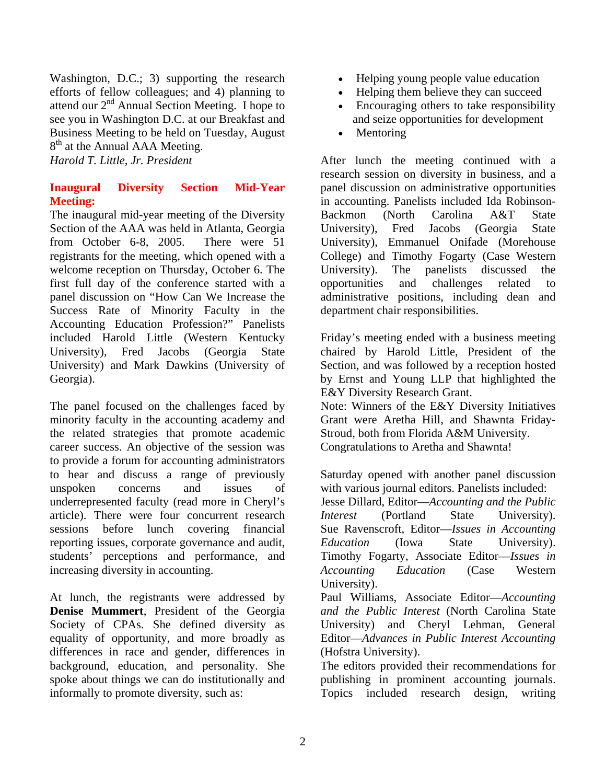Washington, D.C.; 3) supporting the research efforts of fellow colleagues; and 4) planning to attend our  $2<sup>nd</sup>$  Annual Section Meeting. I hope to see you in Washington D.C. at our Breakfast and Business Meeting to be held on Tuesday, August 8<sup>th</sup> at the Annual AAA Meeting.

*Harold T. Little, Jr. President* 

# **Inaugural Diversity Section Mid-Year Meeting:**

The inaugural mid-year meeting of the Diversity Section of the AAA was held in Atlanta, Georgia from October 6-8, 2005. There were 51 registrants for the meeting, which opened with a welcome reception on Thursday, October 6. The first full day of the conference started with a panel discussion on "How Can We Increase the Success Rate of Minority Faculty in the Accounting Education Profession?" Panelists included Harold Little (Western Kentucky University), Fred Jacobs (Georgia State University) and Mark Dawkins (University of Georgia).

The panel focused on the challenges faced by minority faculty in the accounting academy and the related strategies that promote academic career success. An objective of the session was to provide a forum for accounting administrators to hear and discuss a range of previously unspoken concerns and issues of underrepresented faculty (read more in Cheryl's article). There were four concurrent research sessions before lunch covering financial reporting issues, corporate governance and audit, students' perceptions and performance, and increasing diversity in accounting.

At lunch, the registrants were addressed by **Denise Mummert**, President of the Georgia Society of CPAs. She defined diversity as equality of opportunity, and more broadly as differences in race and gender, differences in background, education, and personality. She spoke about things we can do institutionally and informally to promote diversity, such as:

- Helping young people value education
- Helping them believe they can succeed
- Encouraging others to take responsibility and seize opportunities for development
- Mentoring

After lunch the meeting continued with a research session on diversity in business, and a panel discussion on administrative opportunities in accounting. Panelists included Ida Robinson-Backmon (North Carolina A&T State University), Fred Jacobs (Georgia State University), Emmanuel Onifade (Morehouse College) and Timothy Fogarty (Case Western University). The panelists discussed the opportunities and challenges related to administrative positions, including dean and department chair responsibilities.

Friday's meeting ended with a business meeting chaired by Harold Little, President of the Section, and was followed by a reception hosted by Ernst and Young LLP that highlighted the E&Y Diversity Research Grant. Note: Winners of the E&Y Diversity Initiatives

Grant were Aretha Hill, and Shawnta Friday-Stroud, both from Florida A&M University. Congratulations to Aretha and Shawnta!

Saturday opened with another panel discussion with various journal editors. Panelists included: Jesse Dillard, Editor—*Accounting and the Public Interest* (Portland State University). Sue Ravenscroft, Editor—*Issues in Accounting Education* (Iowa State University). Timothy Fogarty, Associate Editor—*Issues in Accounting Education* (Case Western University).

Paul Williams, Associate Editor—*Accounting and the Public Interest* (North Carolina State University) and Cheryl Lehman, General Editor—*Advances in Public Interest Accounting* (Hofstra University).

The editors provided their recommendations for publishing in prominent accounting journals. Topics included research design, writing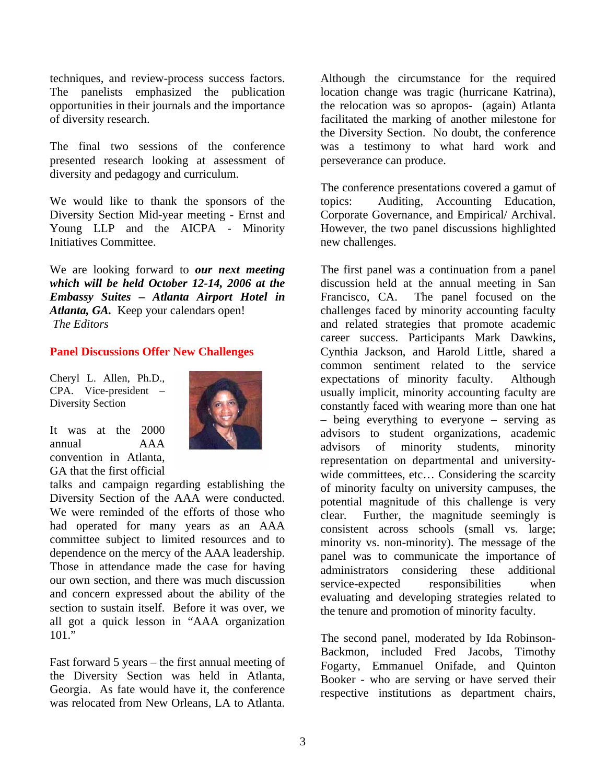techniques, and review-process success factors. The panelists emphasized the publication opportunities in their journals and the importance of diversity research.

The final two sessions of the conference presented research looking at assessment of diversity and pedagogy and curriculum.

We would like to thank the sponsors of the Diversity Section Mid-year meeting - Ernst and Young LLP and the AICPA - Minority Initiatives Committee.

We are looking forward to *our next meeting which will be held October 12-14, 2006 at the Embassy Suites – Atlanta Airport Hotel in Atlanta, GA.* Keep your calendars open! *The Editors* 

#### **Panel Discussions Offer New Challenges**

Cheryl L. Allen, Ph.D., CPA. Vice-president – Diversity Section



It was at the 2000 annual AAA convention in Atlanta, GA that the first official

talks and campaign regarding establishing the Diversity Section of the AAA were conducted. We were reminded of the efforts of those who had operated for many years as an AAA committee subject to limited resources and to dependence on the mercy of the AAA leadership. Those in attendance made the case for having our own section, and there was much discussion and concern expressed about the ability of the section to sustain itself. Before it was over, we all got a quick lesson in "AAA organization  $101.$ "

Fast forward 5 years – the first annual meeting of the Diversity Section was held in Atlanta, Georgia. As fate would have it, the conference was relocated from New Orleans, LA to Atlanta.

Although the circumstance for the required location change was tragic (hurricane Katrina), the relocation was so apropos- (again) Atlanta facilitated the marking of another milestone for the Diversity Section. No doubt, the conference was a testimony to what hard work and perseverance can produce.

The conference presentations covered a gamut of topics: Auditing, Accounting Education, Corporate Governance, and Empirical/ Archival. However, the two panel discussions highlighted new challenges.

The first panel was a continuation from a panel discussion held at the annual meeting in San Francisco, CA. The panel focused on the challenges faced by minority accounting faculty and related strategies that promote academic career success. Participants Mark Dawkins, Cynthia Jackson, and Harold Little, shared a common sentiment related to the service expectations of minority faculty. Although usually implicit, minority accounting faculty are constantly faced with wearing more than one hat – being everything to everyone – serving as advisors to student organizations, academic advisors of minority students, minority representation on departmental and universitywide committees, etc... Considering the scarcity of minority faculty on university campuses, the potential magnitude of this challenge is very clear. Further, the magnitude seemingly is consistent across schools (small vs. large; minority vs. non-minority). The message of the panel was to communicate the importance of administrators considering these additional service-expected responsibilities when evaluating and developing strategies related to the tenure and promotion of minority faculty.

The second panel, moderated by Ida Robinson-Backmon, included Fred Jacobs, Timothy Fogarty, Emmanuel Onifade, and Quinton Booker - who are serving or have served their respective institutions as department chairs,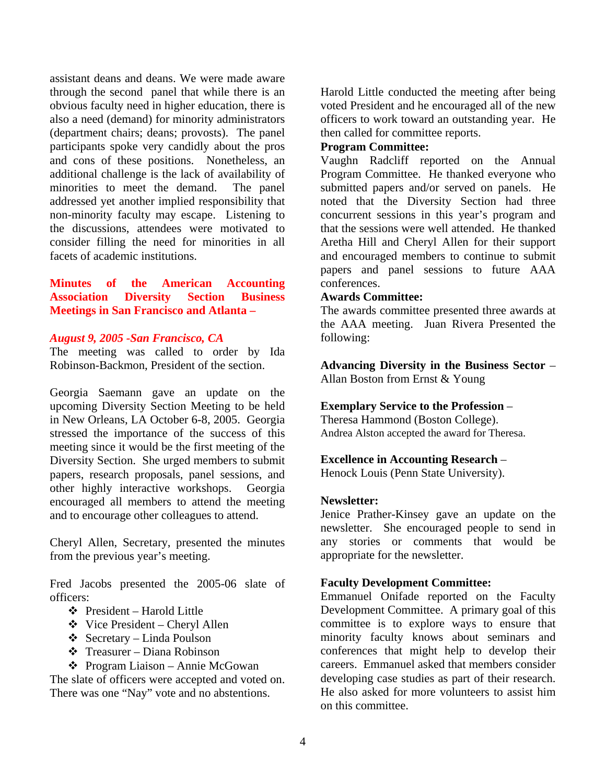assistant deans and deans. We were made aware through the second panel that while there is an obvious faculty need in higher education, there is also a need (demand) for minority administrators (department chairs; deans; provosts). The panel participants spoke very candidly about the pros and cons of these positions. Nonetheless, an additional challenge is the lack of availability of minorities to meet the demand. The panel addressed yet another implied responsibility that non-minority faculty may escape. Listening to the discussions, attendees were motivated to consider filling the need for minorities in all facets of academic institutions.

**Minutes of the American Accounting Association Diversity Section Business Meetings in San Francisco and Atlanta –** 

#### *August 9, 2005 -San Francisco, CA*

The meeting was called to order by Ida Robinson-Backmon, President of the section.

Georgia Saemann gave an update on the upcoming Diversity Section Meeting to be held in New Orleans, LA October 6-8, 2005. Georgia stressed the importance of the success of this meeting since it would be the first meeting of the Diversity Section. She urged members to submit papers, research proposals, panel sessions, and other highly interactive workshops. Georgia encouraged all members to attend the meeting and to encourage other colleagues to attend.

Cheryl Allen, Secretary, presented the minutes from the previous year's meeting.

Fred Jacobs presented the 2005-06 slate of officers:

- $\triangleleft$  President Harold Little
- Vice President Cheryl Allen
- $\triangleleft$  Secretary Linda Poulson
- $\div$  Treasurer Diana Robinson

 Program Liaison – Annie McGowan The slate of officers were accepted and voted on. There was one "Nay" vote and no abstentions.

Harold Little conducted the meeting after being voted President and he encouraged all of the new officers to work toward an outstanding year. He then called for committee reports.

## **Program Committee:**

Vaughn Radcliff reported on the Annual Program Committee. He thanked everyone who submitted papers and/or served on panels. He noted that the Diversity Section had three concurrent sessions in this year's program and that the sessions were well attended. He thanked Aretha Hill and Cheryl Allen for their support and encouraged members to continue to submit papers and panel sessions to future AAA conferences.

#### **Awards Committee:**

The awards committee presented three awards at the AAA meeting. Juan Rivera Presented the following:

**Advancing Diversity in the Business Sector** – Allan Boston from Ernst & Young

## **Exemplary Service to the Profession** –

Theresa Hammond (Boston College). Andrea Alston accepted the award for Theresa.

# **Excellence in Accounting Research** –

Henock Louis (Penn State University).

## **Newsletter:**

Jenice Prather-Kinsey gave an update on the newsletter. She encouraged people to send in any stories or comments that would be appropriate for the newsletter.

## **Faculty Development Committee:**

Emmanuel Onifade reported on the Faculty Development Committee. A primary goal of this committee is to explore ways to ensure that minority faculty knows about seminars and conferences that might help to develop their careers. Emmanuel asked that members consider developing case studies as part of their research. He also asked for more volunteers to assist him on this committee.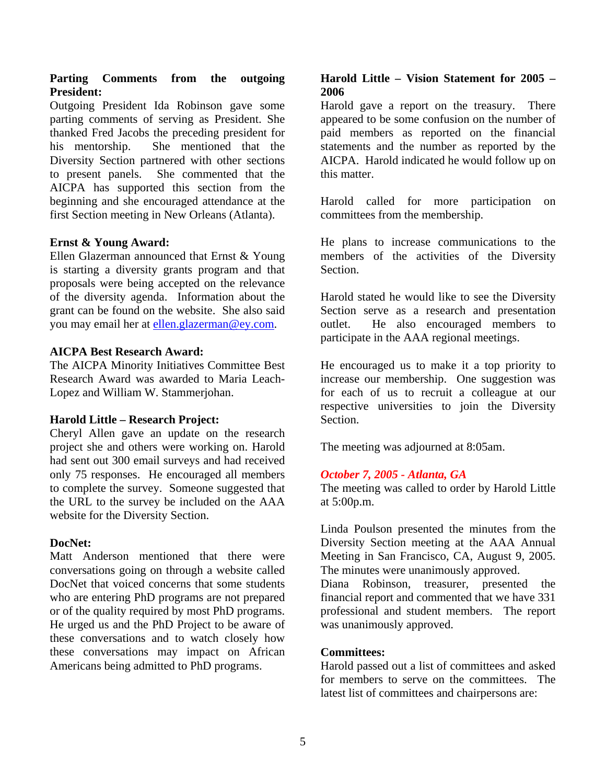# **Parting Comments from the outgoing President:**

Outgoing President Ida Robinson gave some parting comments of serving as President. She thanked Fred Jacobs the preceding president for his mentorship. She mentioned that the Diversity Section partnered with other sections to present panels. She commented that the AICPA has supported this section from the beginning and she encouraged attendance at the first Section meeting in New Orleans (Atlanta).

## **Ernst & Young Award:**

Ellen Glazerman announced that Ernst & Young is starting a diversity grants program and that proposals were being accepted on the relevance of the diversity agenda. Information about the grant can be found on the website. She also said you may email her at [ellen.glazerman@ey.com.](mailto:ellen.glazerman@ey.com)

## **AICPA Best Research Award:**

The AICPA Minority Initiatives Committee Best Research Award was awarded to Maria Leach-Lopez and William W. Stammerjohan.

## **Harold Little – Research Project:**

Cheryl Allen gave an update on the research project she and others were working on. Harold had sent out 300 email surveys and had received only 75 responses. He encouraged all members to complete the survey. Someone suggested that the URL to the survey be included on the AAA website for the Diversity Section.

## **DocNet:**

Matt Anderson mentioned that there were conversations going on through a website called DocNet that voiced concerns that some students who are entering PhD programs are not prepared or of the quality required by most PhD programs. He urged us and the PhD Project to be aware of these conversations and to watch closely how these conversations may impact on African Americans being admitted to PhD programs.

#### **Harold Little – Vision Statement for 2005 – 2006**

Harold gave a report on the treasury. There appeared to be some confusion on the number of paid members as reported on the financial statements and the number as reported by the AICPA. Harold indicated he would follow up on this matter.

Harold called for more participation on committees from the membership.

He plans to increase communications to the members of the activities of the Diversity Section.

Harold stated he would like to see the Diversity Section serve as a research and presentation outlet. He also encouraged members to participate in the AAA regional meetings.

He encouraged us to make it a top priority to increase our membership. One suggestion was for each of us to recruit a colleague at our respective universities to join the Diversity Section.

The meeting was adjourned at 8:05am.

## *October 7, 2005 - Atlanta, GA*

The meeting was called to order by Harold Little at 5:00p.m.

Linda Poulson presented the minutes from the Diversity Section meeting at the AAA Annual Meeting in San Francisco, CA, August 9, 2005. The minutes were unanimously approved.

Diana Robinson, treasurer, presented the financial report and commented that we have 331 professional and student members. The report was unanimously approved.

#### **Committees:**

Harold passed out a list of committees and asked for members to serve on the committees. The latest list of committees and chairpersons are: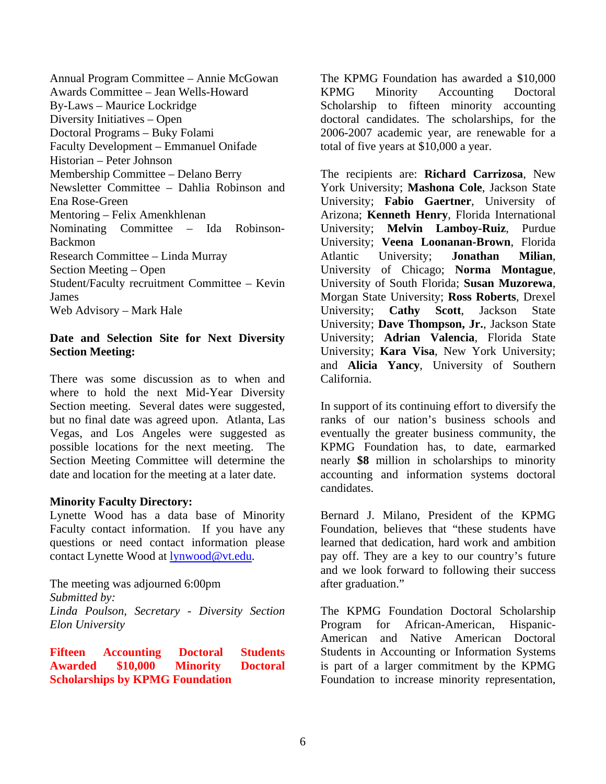Annual Program Committee – Annie McGowan Awards Committee – Jean Wells-Howard By-Laws – Maurice Lockridge Diversity Initiatives – Open Doctoral Programs – Buky Folami Faculty Development – Emmanuel Onifade Historian – Peter Johnson Membership Committee – Delano Berry Newsletter Committee – Dahlia Robinson and Ena Rose-Green Mentoring – Felix Amenkhlenan Nominating Committee – Ida Robinson-Backmon Research Committee – Linda Murray Section Meeting – Open Student/Faculty recruitment Committee – Kevin James Web Advisory – Mark Hale

# **Date and Selection Site for Next Diversity Section Meeting:**

There was some discussion as to when and where to hold the next Mid-Year Diversity Section meeting. Several dates were suggested, but no final date was agreed upon. Atlanta, Las Vegas, and Los Angeles were suggested as possible locations for the next meeting. The Section Meeting Committee will determine the date and location for the meeting at a later date.

## **Minority Faculty Directory:**

Lynette Wood has a data base of Minority Faculty contact information. If you have any questions or need contact information please contact Lynette Wood at [lynwood@vt.edu](mailto:lynwood@vt.edu).

The meeting was adjourned 6:00pm *Submitted by: Linda Poulson, Secretary - Diversity Section Elon University* 

**Fifteen Accounting Doctoral Students Awarded \$10,000 Minority Doctoral Scholarships by KPMG Foundation** 

The KPMG Foundation has awarded a \$10,000 KPMG Minority Accounting Doctoral Scholarship to fifteen minority accounting doctoral candidates. The scholarships, for the 2006-2007 academic year, are renewable for a total of five years at \$10,000 a year.

The recipients are: **Richard Carrizosa**, New York University; **Mashona Cole**, Jackson State University; **Fabio Gaertner**, University of Arizona; **Kenneth Henry**, Florida International University; **Melvin Lamboy-Ruiz**, Purdue University; **Veena Loonanan-Brown**, Florida Atlantic University; **Jonathan Milian**, University of Chicago; **Norma Montague**, University of South Florida; **Susan Muzorewa**, Morgan State University; **Ross Roberts**, Drexel University; **Cathy Scott**, Jackson State University; **Dave Thompson, Jr.**, Jackson State University; **Adrian Valencia**, Florida State University; **Kara Visa**, New York University; and **Alicia Yancy**, University of Southern California.

In support of its continuing effort to diversify the ranks of our nation's business schools and eventually the greater business community, the KPMG Foundation has, to date, earmarked nearly **\$8** million in scholarships to minority accounting and information systems doctoral candidates.

Bernard J. Milano, President of the KPMG Foundation, believes that "these students have learned that dedication, hard work and ambition pay off. They are a key to our country's future and we look forward to following their success after graduation."

The KPMG Foundation Doctoral Scholarship Program for African-American, Hispanic-American and Native American Doctoral Students in Accounting or Information Systems is part of a larger commitment by the KPMG Foundation to increase minority representation,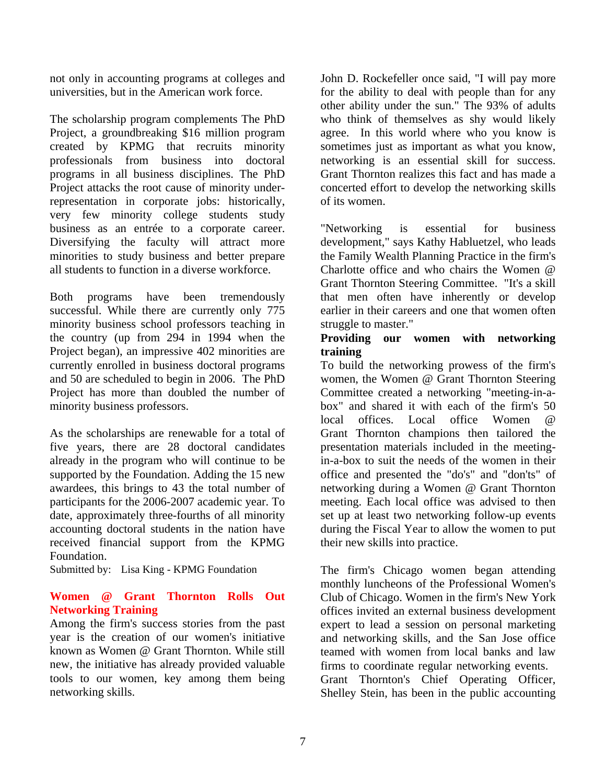not only in accounting programs at colleges and universities, but in the American work force.

The scholarship program complements The PhD Project, a groundbreaking \$16 million program created by KPMG that recruits minority professionals from business into doctoral programs in all business disciplines. The PhD Project attacks the root cause of minority underrepresentation in corporate jobs: historically, very few minority college students study business as an entrée to a corporate career. Diversifying the faculty will attract more minorities to study business and better prepare all students to function in a diverse workforce.

Both programs have been tremendously successful. While there are currently only 775 minority business school professors teaching in the country (up from 294 in 1994 when the Project began), an impressive 402 minorities are currently enrolled in business doctoral programs and 50 are scheduled to begin in 2006. The PhD Project has more than doubled the number of minority business professors.

As the scholarships are renewable for a total of five years, there are 28 doctoral candidates already in the program who will continue to be supported by the Foundation. Adding the 15 new awardees, this brings to 43 the total number of participants for the 2006-2007 academic year. To date, approximately three-fourths of all minority accounting doctoral students in the nation have received financial support from the KPMG Foundation.

Submitted by: Lisa King - KPMG Foundation

# **Women @ Grant Thornton Rolls Out Networking Training**

Among the firm's success stories from the past year is the creation of our women's initiative known as Women @ Grant Thornton. While still new, the initiative has already provided valuable tools to our women, key among them being networking skills.

John D. Rockefeller once said, "I will pay more for the ability to deal with people than for any other ability under the sun." The 93% of adults who think of themselves as shy would likely agree. In this world where who you know is sometimes just as important as what you know, networking is an essential skill for success. Grant Thornton realizes this fact and has made a concerted effort to develop the networking skills of its women.

"Networking is essential for business development," says Kathy Habluetzel, who leads the Family Wealth Planning Practice in the firm's Charlotte office and who chairs the Women @ Grant Thornton Steering Committee. "It's a skill that men often have inherently or develop earlier in their careers and one that women often struggle to master."

# **Providing our women with networking training**

To build the networking prowess of the firm's women, the Women @ Grant Thornton Steering Committee created a networking "meeting-in-abox" and shared it with each of the firm's 50 local offices. Local office Women @ Grant Thornton champions then tailored the presentation materials included in the meetingin-a-box to suit the needs of the women in their office and presented the "do's" and "don'ts" of networking during a Women @ Grant Thornton meeting. Each local office was advised to then set up at least two networking follow-up events during the Fiscal Year to allow the women to put their new skills into practice.

The firm's Chicago women began attending monthly luncheons of the Professional Women's Club of Chicago. Women in the firm's New York offices invited an external business development expert to lead a session on personal marketing and networking skills, and the San Jose office teamed with women from local banks and law firms to coordinate regular networking events. Grant Thornton's Chief Operating Officer, Shelley Stein, has been in the public accounting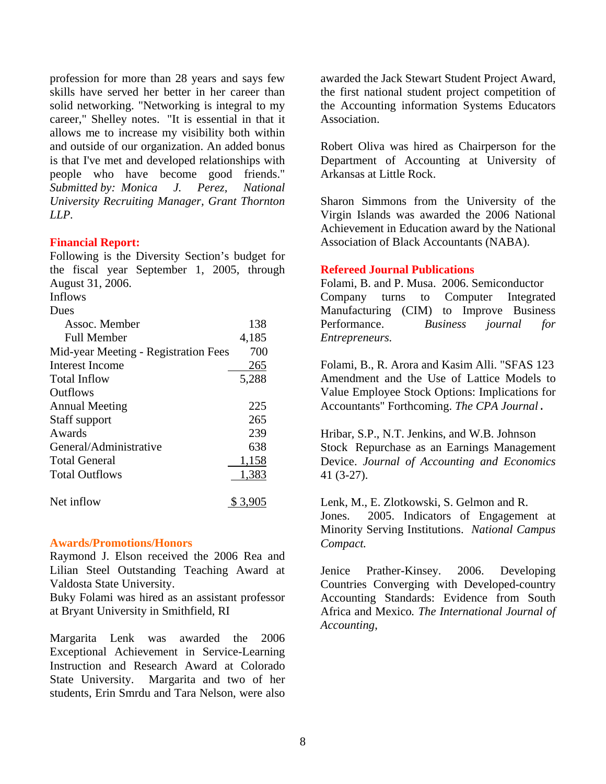profession for more than 28 years and says few skills have served her better in her career than solid networking. "Networking is integral to my career," Shelley notes. "It is essential in that it allows me to increase my visibility both within and outside of our organization. An added bonus is that I've met and developed relationships with people who have become good friends." *Submitted by: Monica J. Perez, National University Recruiting Manager, Grant Thornton LLP.*

#### **Financial Report:**

Following is the Diversity Section's budget for the fiscal year September 1, 2005, through August 31, 2006.

Inflows

| Dues                                 |       |
|--------------------------------------|-------|
| Assoc. Member                        | 138   |
| Full Member                          | 4,185 |
| Mid-year Meeting - Registration Fees | 700   |
| Interest Income                      | 265   |
| Total Inflow                         | 5,288 |
| <b>Outflows</b>                      |       |
| <b>Annual Meeting</b>                | 225   |
| Staff support                        | 265   |
| Awards                               | 239   |
| General/Administrative               | 638   |
| <b>Total General</b>                 | 1,158 |
| <b>Total Outflows</b>                | 1,383 |
| Net inflow                           | \$3.9 |

#### **Awards/Promotions/Honors**

Raymond J. Elson received the 2006 Rea and Lilian Steel Outstanding Teaching Award at Valdosta State University.

Buky Folami was hired as an assistant professor at Bryant University in Smithfield, RI

Margarita Lenk was awarded the 2006 Exceptional Achievement in Service-Learning Instruction and Research Award at Colorado State University. Margarita and two of her students, Erin Smrdu and Tara Nelson, were also

awarded the Jack Stewart Student Project Award, the first national student project competition of the Accounting information Systems Educators Association.

Robert Oliva was hired as Chairperson for the Department of Accounting at University of Arkansas at Little Rock.

Sharon Simmons from the University of the Virgin Islands was awarded the 2006 National Achievement in Education award by the National Association of Black Accountants (NABA).

## **Refereed Journal Publications**

Folami, B. and P. Musa. 2006. Semiconductor Company turns to Computer Integrated Manufacturing (CIM) to Improve Business Performance. *Business journal for Entrepreneurs.*

Folami, B., R. Arora and Kasim Alli. "SFAS 123 Amendment and the Use of Lattice Models to Value Employee Stock Options: Implications for Accountants" Forthcoming. *The CPA Journal*.

Hribar, S.P., N.T. Jenkins, and W.B. Johnson Stock Repurchase as an Earnings Management Device. *Journal of Accounting and Economics* 41 (3-27).

Lenk, M., E. Zlotkowski, S. Gelmon and R. Jones. 2005. Indicators of Engagement at Minority Serving Institutions. *National Campus Compact.* 

Jenice Prather-Kinsey. 2006. Developing Countries Converging with Developed-country Accounting Standards: Evidence from South Africa and Mexico*. The International Journal of Accounting*,